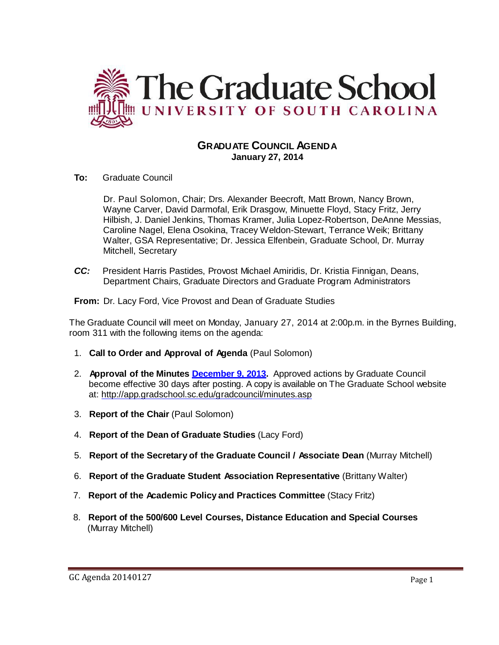

## **GRADUATE COUNCIL AGENDA January 27, 2014**

**To:** Graduate Council

Dr. Paul Solomon, Chair; Drs. Alexander Beecroft, Matt Brown, Nancy Brown, Wayne Carver, David Darmofal, Erik Drasgow, Minuette Floyd, Stacy Fritz, Jerry Hilbish, J. Daniel Jenkins, Thomas Kramer, Julia Lopez-Robertson, DeAnne Messias, Caroline Nagel, Elena Osokina, Tracey Weldon-Stewart, Terrance Weik; Brittany Walter, GSA Representative; Dr. Jessica Elfenbein, Graduate School, Dr. Murray Mitchell, Secretary

*CC:* President Harris Pastides, Provost Michael Amiridis, Dr. Kristia Finnigan, Deans, Department Chairs, Graduate Directors and Graduate Program Administrators

**From:** Dr. Lacy Ford, Vice Provost and Dean of Graduate Studies

The Graduate Council will meet on Monday, January 27, 2014 at 2:00p.m. in the Byrnes Building, room 311 with the following items on the agenda:

- 1. **Call to Order and Approval of Agenda** (Paul Solomon)
- 2. **Approval of the Minutes [December](http://gradschool.sc.edu/facstaff/gradcouncil/2013/GC%20Minutes%2012%209%202013(MM).pdf) 9, 2013.** Approved actions by Graduate Council become effective 30 days after posting. A copy is available on The Graduate School website at:<http://app.gradschool.sc.edu/gradcouncil/minutes.asp>
- 3. **Report of the Chair** (Paul Solomon)
- 4. **Report of the Dean of Graduate Studies** (Lacy Ford)
- 5. **Report of the Secretary of the Graduate Council / Associate Dean** (Murray Mitchell)
- 6. **Report of the Graduate Student Association Representative** (Brittany Walter)
- 7. **Report of the Academic Policy and Practices Committee** (Stacy Fritz)
- 8. **Report of the 500/600 Level Courses, Distance Education and Special Courses** (Murray Mitchell)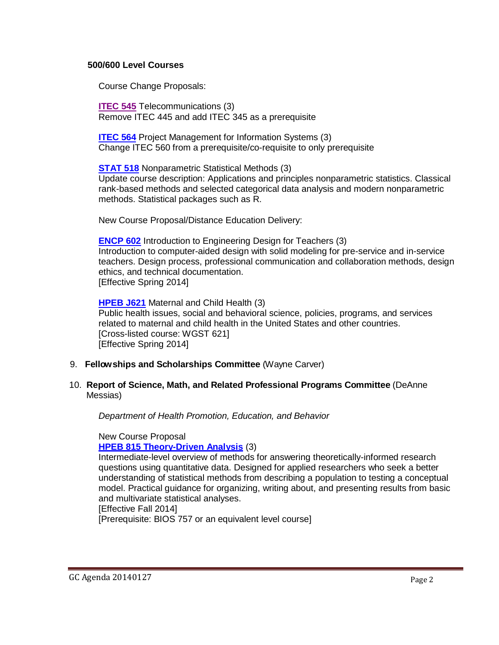#### **500/600 Level Courses**

Course Change Proposals:

**[ITEC 545](http://gradschool.sc.edu/facstaff/gradcouncil/2013/ITEC%20545%20CCP_Redacted.pdf)** Telecommunications (3) Remove ITEC 445 and add ITEC 345 as a prerequisite

**[ITEC 564](http://gradschool.sc.edu/facstaff/gradcouncil/2013/ITEC%20564%20CCP_Redacted.pdf)** Project Management for Information Systems (3) Change ITEC 560 from a prerequisite/co-requisite to only prerequisite

**[STAT](http://gradschool.sc.edu/facstaff/gradcouncil/2013/STAT%20518%20CCP_Redacted.pdf) 518** Nonparametric Statistical Methods (3) Update course description: Applications and principles nonparametric statistics. Classical rank-based methods and selected categorical data analysis and modern nonparametric methods. Statistical packages such as R.

New Course Proposal/Distance Education Delivery:

**[ENCP](http://gradschool.sc.edu/facstaff/gradcouncil/2013/ENCP%20602%20NCP_Redacted.pdf) 602** Introduction to Engineering Design for Teachers (3) Introduction to computer-aided design with solid modeling for pre-service and in-service teachers. Design process, professional communication and collaboration methods, design ethics, and technical documentation. [Effective Spring 2014]

**[HPEB J621](http://gradschool.sc.edu/facstaff/gradcouncil/2013/HPEB%20J621_Redacted.pdf)** Maternal and Child Health (3) Public health issues, social and behavioral science, policies, programs, and services related to maternal and child health in the United States and other countries. [Cross-listed course: WGST 621] [Effective Spring 2014]

- 9. **Fellowships and Scholarships Committee** (Wayne Carver)
- 10. **Report of Science, Math, and Related Professional Programs Committee** (DeAnne Messias)

*Department of Health Promotion, Education, and Behavior*

New Course Proposal

## **HPEB 815 [Theory-Driven](http://gradschool.sc.edu/facstaff/gradcouncil/2013/HPEB%20815%20NCP_Redacted.pdf) Analysis** (3)

Intermediate-level overview of methods for answering theoretically-informed research questions using quantitative data. Designed for applied researchers who seek a better understanding of statistical methods from describing a population to testing a conceptual model. Practical guidance for organizing, writing about, and presenting results from basic and multivariate statistical analyses.

[Effective Fall 2014]

[Prerequisite: BIOS 757 or an equivalent level course]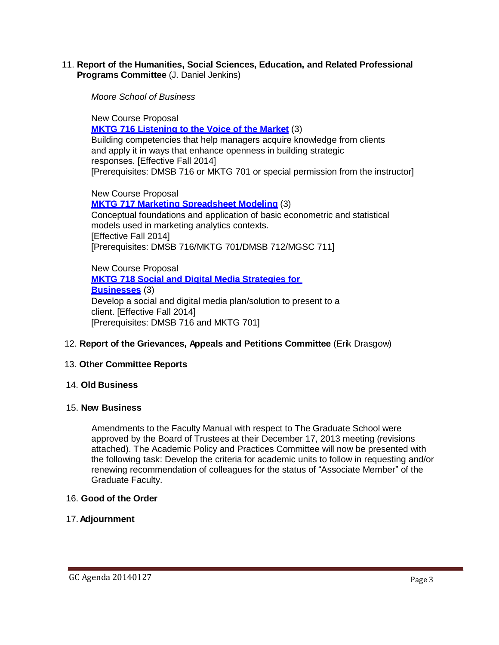11. **Report of the Humanities, Social Sciences, Education, and Related Professional Programs Committee** (J. Daniel Jenkins)

*Moore School of Business*

New Course Proposal **MKTG 716 [Listening](http://gradschool.sc.edu/facstaff/gradcouncil/2013/MKTG%20716%20ncp_Redacted.pdf) to the Voice of the Market** (3) Building competencies that help managers acquire knowledge from clients and apply it in ways that enhance openness in building strategic responses. [Effective Fall 2014] [Prerequisites: DMSB 716 or MKTG 701 or special permission from the instructor]

New Course Proposal **MKTG 717 Marketing [Spreadsheet Modeling](http://gradschool.sc.edu/facstaff/gradcouncil/2013/MKTG%20717%20NCP_Redacted.pdf)** (3) Conceptual foundations and application of basic econometric and statistical models used in marketing analytics contexts. [Effective Fall 2014] [Prerequisites: DMSB 716/MKTG 701/DMSB 712/MGSC 711]

New Course Proposal **MKTG 718 Social and [Digital Media](http://gradschool.sc.edu/facstaff/gradcouncil/2013/MKTG%20718%20NCP_Redacted.pdf) Strategies for [Businesses](http://gradschool.sc.edu/facstaff/gradcouncil/2013/MKTG%20718%20NCP_Redacted.pdf)** (3) Develop a social and digital media plan/solution to present to a client. [Effective Fall 2014] [Prerequisites: DMSB 716 and MKTG 701]

### 12. **Report of the Grievances, Appeals and Petitions Committee** (Erik Drasgow)

### 13. **Other Committee Reports**

#### 14. **Old Business**

#### 15. **New Business**

Amendments to the Faculty Manual with respect to The Graduate School were approved by the Board of Trustees at their December 17, 2013 meeting (revisions attached). The Academic Policy and Practices Committee will now be presented with the following task: Develop the criteria for academic units to follow in requesting and/or renewing recommendation of colleagues for the status of "Associate Member" of the Graduate Faculty.

#### 16. **Good of the Order**

### 17. **Adjournment**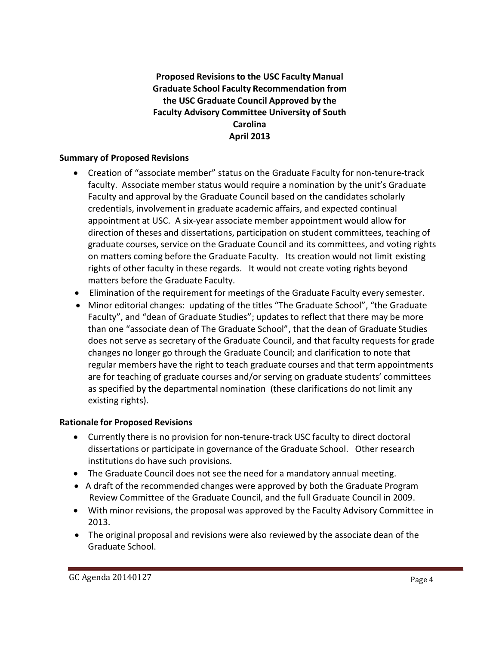## **Proposed Revisionsto the USC Faculty Manual Graduate School Faculty Recommendation from the USC Graduate Council Approved by the Faculty Advisory Committee University of South Carolina April 2013**

## **Summary of Proposed Revisions**

- Creation of "associate member" status on the Graduate Faculty for non-tenure-track faculty. Associate member status would require a nomination by the unit's Graduate Faculty and approval by the Graduate Council based on the candidates scholarly credentials, involvement in graduate academic affairs, and expected continual appointment at USC. A six-year associate member appointment would allow for direction of theses and dissertations, participation on student committees, teaching of graduate courses, service on the Graduate Council and its committees, and voting rights on matters coming before the Graduate Faculty. Its creation would not limit existing rights of other faculty in these regards. It would not create voting rights beyond matters before the Graduate Faculty.
- Elimination of the requirement for meetings of the Graduate Faculty every semester.
- Minor editorial changes: updating of the titles "The Graduate School", "the Graduate Faculty", and "dean of Graduate Studies"; updates to reflect that there may be more than one "associate dean of The Graduate School", that the dean of Graduate Studies does not serve as secretary of the Graduate Council, and that faculty requests for grade changes no longer go through the Graduate Council; and clarification to note that regular members have the right to teach graduate courses and that term appointments are for teaching of graduate courses and/or serving on graduate students' committees as specified by the departmental nomination (these clarifications do not limit any existing rights).

## **Rationale for Proposed Revisions**

- Currently there is no provision for non-tenure-track USC faculty to direct doctoral dissertations or participate in governance of the Graduate School. Other research institutions do have such provisions.
- The Graduate Council does not see the need for a mandatory annual meeting.
- A draft of the recommended changes were approved by both the Graduate Program Review Committee of the Graduate Council, and the full Graduate Council in 2009.
- With minor revisions, the proposal was approved by the Faculty Advisory Committee in 2013.
- The original proposal and revisions were also reviewed by the associate dean of the Graduate School.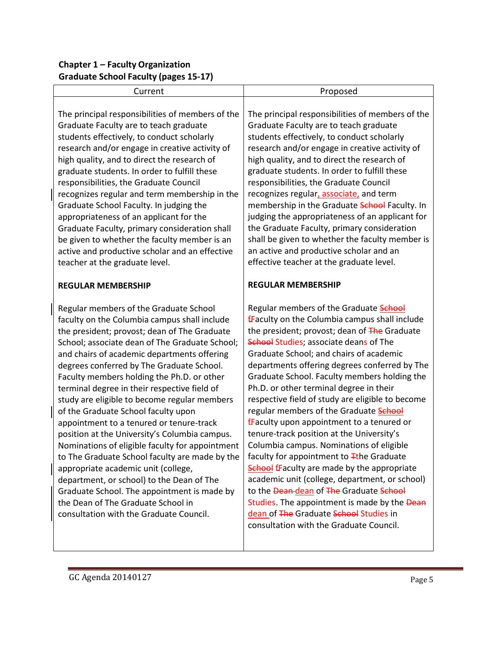# **Chapter 1 – Faculty Organization Graduate School Faculty (pages 15-17)**

| Current                                                                                                                                                                                                                                                                                                                                                                                                                                                                                                                                                                                                                                                                                                                                                                                                                                                                                         | Proposed                                                                                                                                                                                                                                                                                                                                                                                                                                                                                                                                                                                                                                                                                                                                                                                                                                                                                                                                                                              |
|-------------------------------------------------------------------------------------------------------------------------------------------------------------------------------------------------------------------------------------------------------------------------------------------------------------------------------------------------------------------------------------------------------------------------------------------------------------------------------------------------------------------------------------------------------------------------------------------------------------------------------------------------------------------------------------------------------------------------------------------------------------------------------------------------------------------------------------------------------------------------------------------------|---------------------------------------------------------------------------------------------------------------------------------------------------------------------------------------------------------------------------------------------------------------------------------------------------------------------------------------------------------------------------------------------------------------------------------------------------------------------------------------------------------------------------------------------------------------------------------------------------------------------------------------------------------------------------------------------------------------------------------------------------------------------------------------------------------------------------------------------------------------------------------------------------------------------------------------------------------------------------------------|
| The principal responsibilities of members of the<br>Graduate Faculty are to teach graduate<br>students effectively, to conduct scholarly<br>research and/or engage in creative activity of<br>high quality, and to direct the research of<br>graduate students. In order to fulfill these<br>responsibilities, the Graduate Council<br>recognizes regular and term membership in the<br>Graduate School Faculty. In judging the<br>appropriateness of an applicant for the<br>Graduate Faculty, primary consideration shall<br>be given to whether the faculty member is an<br>active and productive scholar and an effective<br>teacher at the graduate level.                                                                                                                                                                                                                                 | The principal responsibilities of members of the<br>Graduate Faculty are to teach graduate<br>students effectively, to conduct scholarly<br>research and/or engage in creative activity of<br>high quality, and to direct the research of<br>graduate students. In order to fulfill these<br>responsibilities, the Graduate Council<br>recognizes regular, associate, and term<br>membership in the Graduate School Faculty. In<br>judging the appropriateness of an applicant for<br>the Graduate Faculty, primary consideration<br>shall be given to whether the faculty member is<br>an active and productive scholar and an<br>effective teacher at the graduate level.                                                                                                                                                                                                                                                                                                           |
| <b>REGULAR MEMBERSHIP</b>                                                                                                                                                                                                                                                                                                                                                                                                                                                                                                                                                                                                                                                                                                                                                                                                                                                                       | <b>REGULAR MEMBERSHIP</b>                                                                                                                                                                                                                                                                                                                                                                                                                                                                                                                                                                                                                                                                                                                                                                                                                                                                                                                                                             |
| Regular members of the Graduate School<br>faculty on the Columbia campus shall include<br>the president; provost; dean of The Graduate<br>School; associate dean of The Graduate School;<br>and chairs of academic departments offering<br>degrees conferred by The Graduate School.<br>Faculty members holding the Ph.D. or other<br>terminal degree in their respective field of<br>study are eligible to become regular members<br>of the Graduate School faculty upon<br>appointment to a tenured or tenure-track<br>position at the University's Columbia campus.<br>Nominations of eligible faculty for appointment<br>to The Graduate School faculty are made by the<br>appropriate academic unit (college,<br>department, or school) to the Dean of The<br>Graduate School. The appointment is made by<br>the Dean of The Graduate School in<br>consultation with the Graduate Council. | Regular members of the Graduate <b>School</b><br><b>fFaculty on the Columbia campus shall include</b><br>the president; provost; dean of The Graduate<br>School Studies; associate deans of The<br>Graduate School; and chairs of academic<br>departments offering degrees conferred by The<br>Graduate School. Faculty members holding the<br>Ph.D. or other terminal degree in their<br>respective field of study are eligible to become<br>regular members of the Graduate <b>School</b><br><b>f</b> Faculty upon appointment to a tenured or<br>tenure-track position at the University's<br>Columbia campus. Nominations of eligible<br>faculty for appointment to <i>T</i> the Graduate<br><b>School fFaculty are made by the appropriate</b><br>academic unit (college, department, or school)<br>to the Dean dean of The Graduate School<br>Studies. The appointment is made by the Dean<br>dean of The Graduate School Studies in<br>consultation with the Graduate Council. |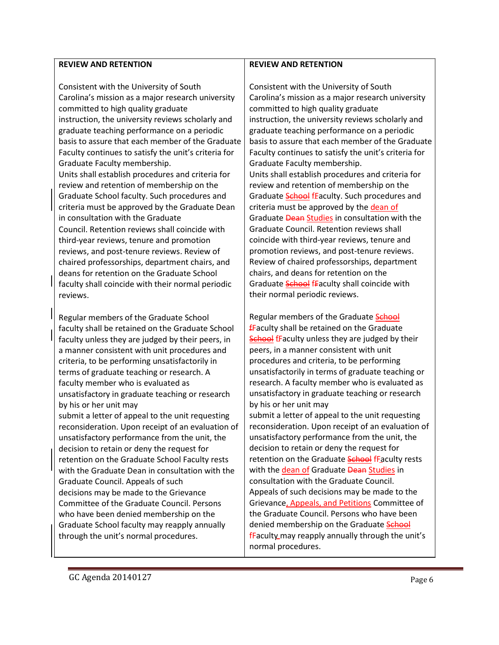#### **REVIEW AND RETENTION**

Consistent with the University of South Carolina's mission as a major research university committed to high quality graduate instruction, the university reviews scholarly and graduate teaching performance on a periodic basis to assure that each member of the Graduate Faculty continues to satisfy the unit's criteria for Graduate Faculty membership. Units shall establish procedures and criteria for review and retention of membership on the Graduate School faculty. Such procedures and criteria must be approved by the Graduate Dean in consultation with the Graduate Council. Retention reviews shall coincide with third-year reviews, tenure and promotion reviews, and post-tenure reviews. Review of chaired professorships, department chairs, and deans for retention on the Graduate School faculty shall coincide with their normal periodic reviews.

Regular members of the Graduate School faculty shall be retained on the Graduate School faculty unless they are judged by their peers, in a manner consistent with unit procedures and criteria, to be performing unsatisfactorily in terms of graduate teaching or research. A faculty member who is evaluated as unsatisfactory in graduate teaching or research by his or her unit may

submit a letter of appeal to the unit requesting reconsideration. Upon receipt of an evaluation of unsatisfactory performance from the unit, the decision to retain or deny the request for retention on the Graduate School Faculty rests with the Graduate Dean in consultation with the Graduate Council. Appeals of such decisions may be made to the Grievance Committee of the Graduate Council. Persons who have been denied membership on the Graduate School faculty may reapply annually through the unit's normal procedures.

#### **REVIEW AND RETENTION**

Consistent with the University of South Carolina's mission as a major research university committed to high quality graduate instruction, the university reviews scholarly and graduate teaching performance on a periodic basis to assure that each member of the Graduate Faculty continues to satisfy the unit's criteria for Graduate Faculty membership. Units shall establish procedures and criteria for review and retention of membership on the Graduate **School** fEaculty. Such procedures and criteria must be approved by the dean of Graduate **Dean Studies** in consultation with the Graduate Council. Retention reviews shall coincide with third-year reviews, tenure and promotion reviews, and post-tenure reviews. Review of chaired professorships, department chairs, and deans for retention on the Graduate School fFaculty shall coincide with their normal periodic reviews.

Regular members of the Graduate School  $f$ Faculty shall be retained on the Graduate School fFaculty unless they are judged by their peers, in a manner consistent with unit procedures and criteria, to be performing unsatisfactorily in terms of graduate teaching or research. A faculty member who is evaluated as unsatisfactory in graduate teaching or research by his or her unit may

submit a letter of appeal to the unit requesting reconsideration. Upon receipt of an evaluation of unsatisfactory performance from the unit, the decision to retain or deny the request for retention on the Graduate School fFaculty rests with the dean of Graduate Dean Studies in consultation with the Graduate Council. Appeals of such decisions may be made to the Grievance, Appeals, and Petitions Committee of the Graduate Council. Persons who have been denied membership on the Graduate School fFaculty may reapply annually through the unit's normal procedures.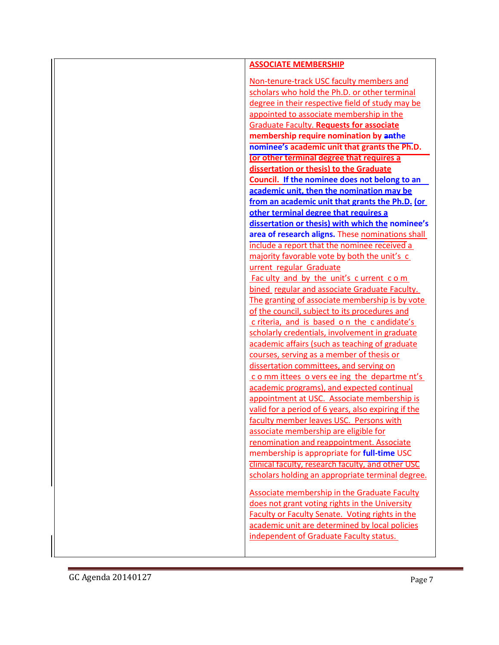| <b>ASSOCIATE MEMBERSHIP</b>                            |
|--------------------------------------------------------|
|                                                        |
| Non-tenure-track USC faculty members and               |
| scholars who hold the Ph.D. or other terminal          |
| degree in their respective field of study may be       |
| appointed to associate membership in the               |
| <b>Graduate Faculty. Requests for associate</b>        |
| membership require nomination by anthe                 |
| nominee's academic unit that grants the Ph.D.          |
| (or other terminal degree that requires a              |
| dissertation or thesis) to the Graduate                |
| Council. If the nominee does not belong to an          |
| academic unit, then the nomination may be              |
| from an academic unit that grants the Ph.D. (or        |
| other terminal degree that requires a                  |
| dissertation or thesis) with which the nominee's       |
| area of research aligns. These nominations shall       |
| include a report that the nominee received a           |
| majority favorable vote by both the unit's c           |
| urrent regular Graduate                                |
| Fac ulty and by the unit's current com                 |
| bined regular and associate Graduate Faculty.          |
| The granting of associate membership is by vote        |
| of the council, subject to its procedures and          |
| c riteria, and is based on the c andidate's            |
| scholarly credentials, involvement in graduate         |
| academic affairs (such as teaching of graduate         |
| courses, serving as a member of thesis or              |
| dissertation committees, and serving on                |
| c o mm ittees o vers ee ing the departme nt's          |
| academic programs), and expected continual             |
| appointment at USC. Associate membership is            |
| valid for a period of 6 years, also expiring if the    |
| faculty member leaves USC. Persons with                |
| associate membership are eligible for                  |
| renomination and reappointment. Associate              |
| membership is appropriate for full-time USC            |
| clinical faculty, research faculty, and other USC      |
| scholars holding an appropriate terminal degree.       |
|                                                        |
| Associate membership in the Graduate Faculty           |
| does not grant voting rights in the University         |
| <b>Faculty or Faculty Senate. Voting rights in the</b> |
| academic unit are determined by local policies         |
| independent of Graduate Faculty status.                |
|                                                        |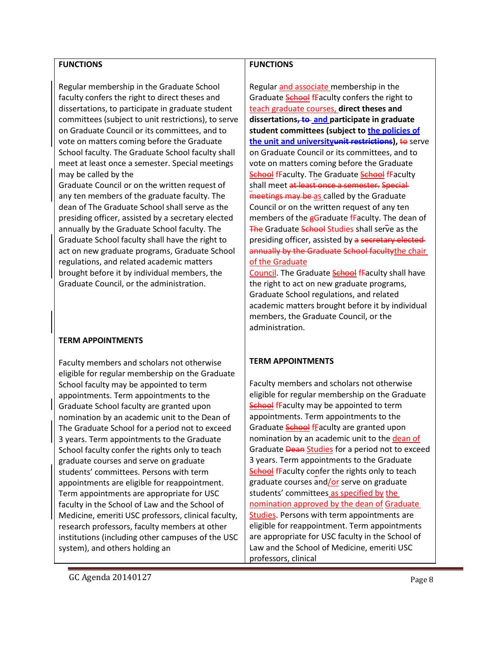### **FUNCTIONS**

Regular membership in the Graduate School faculty confers the right to direct theses and dissertations, to participate in graduate student committees (subject to unit restrictions), to serve on Graduate Council or its committees, and to vote on matters coming before the Graduate School faculty. The Graduate School faculty shall meet at least once a semester. Special meetings may be called by the

Graduate Council or on the written request of any ten members of the graduate faculty. The dean of The Graduate School shall serve as the presiding officer, assisted by a secretary elected annually by the Graduate School faculty. The Graduate School faculty shall have the right to act on new graduate programs, Graduate School regulations, and related academic matters brought before it by individual members, the Graduate Council, or the administration.

## **TERM APPOINTMENTS**

Faculty members and scholars not otherwise eligible for regular membership on the Graduate School faculty may be appointed to term appointments. Term appointments to the Graduate School faculty are granted upon nomination by an academic unit to the Dean of The Graduate School for a period not to exceed 3 years. Term appointments to the Graduate School faculty confer the rights only to teach graduate courses and serve on graduate students' committees. Persons with term appointments are eligible for reappointment. Term appointments are appropriate for USC faculty in the School of Law and the School of Medicine, emeriti USC professors, clinical faculty, research professors, faculty members at other institutions (including other campuses of the USC system), and others holding an

### **FUNCTIONS**

Regular and associate membership in the Graduate **School** fFaculty confers the right to teach graduate courses, **direct theses and dissertations, to and participate in graduate student committees (subject to the policies of the unit and university unit restrictions), to serve** on Graduate Council or its committees, and to vote on matters coming before the Graduate School fFaculty. The Graduate School fFaculty shall meet at least once a semester. Special meetings may be as called by the Graduate Council or on the written request of any ten members of the gGraduate fFaculty. The dean of The Graduate School Studies shall serve as the presiding officer, assisted by a secretary electedannually by the Graduate School facultythe chair of the Graduate

Council. The Graduate School fFaculty shall have the right to act on new graduate programs, Graduate School regulations, and related academic matters brought before it by individual members, the Graduate Council, or the administration.

## **TERM APPOINTMENTS**

Faculty members and scholars not otherwise eligible for regular membership on the Graduate **School fFaculty may be appointed to term** appointments. Term appointments to the Graduate School fFaculty are granted upon nomination by an academic unit to the dean of Graduate **Dean Studies** for a period not to exceed 3 years. Term appointments to the Graduate **School fFaculty confer the rights only to teach** graduate courses and/or serve on graduate students' committees as specified by the nomination approved by the dean of Graduate Studies. Persons with term appointments are eligible for reappointment. Term appointments are appropriate for USC faculty in the School of Law and the School of Medicine, emeriti USC professors, clinical

GC Agenda 20140127 Page 8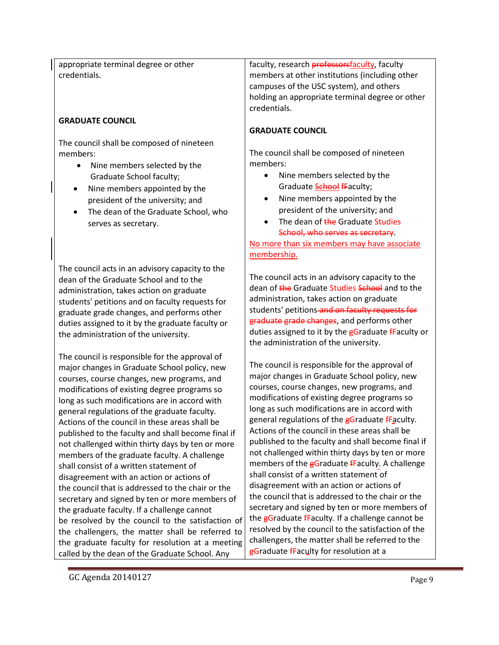appropriate terminal degree or other credentials.

### **GRADUATE COUNCIL**

The council shall be composed of nineteen members:

- Nine members selected by the Graduate School faculty;
- Nine members appointed by the president of the university; and
- The dean of the Graduate School, who serves as secretary.

The council acts in an advisory capacity to the dean of the Graduate School and to the administration, takes action on graduate students' petitions and on faculty requests for graduate grade changes, and performs other duties assigned to it by the graduate faculty or the administration of the university.

The council is responsible for the approval of major changes in Graduate School policy, new courses, course changes, new programs, and modifications of existing degree programs so long as such modifications are in accord with general regulations of the graduate faculty. Actions of the council in these areas shall be published to the faculty and shall become final if not challenged within thirty days by ten or more members of the graduate faculty. A challenge shall consist of a written statement of disagreement with an action or actions of the council that is addressed to the chair or the secretary and signed by ten or more members of the graduate faculty. If a challenge cannot be resolved by the council to the satisfaction of the challengers, the matter shall be referred to the graduate faculty for resolution at a meeting called by the dean of the Graduate School. Any

faculty, research **professorsfaculty**, faculty members at other institutions (including other campuses of the USC system), and others holding an appropriate terminal degree or other credentials.

### **GRADUATE COUNCIL**

The council shall be composed of nineteen members:

- Nine members selected by the Graduate School fFaculty;
- Nine members appointed by the president of the university; and
- The dean of the Graduate Studies School, who serves as secretary.

No more than six members may have associate membership.

The council acts in an advisory capacity to the dean of the Graduate Studies School and to the administration, takes action on graduate students' petitions-and on faculty requests for graduate grade changes, and performs other duties assigned to it by the gGraduate fFaculty or the administration of the university.

The council is responsible for the approval of major changes in Graduate School policy, new courses, course changes, new programs, and modifications of existing degree programs so long as such modifications are in accord with general regulations of the gGraduate fFaculty. Actions of the council in these areas shall be published to the faculty and shall become final if not challenged within thirty days by ten or more members of the  $\frac{1}{5}$ Graduate fFaculty. A challenge shall consist of a written statement of disagreement with an action or actions of the council that is addressed to the chair or the secretary and signed by ten or more members of the  $\frac{1}{5}$ Graduate  $\frac{1}{5}$ Faculty. If a challenge cannot be resolved by the council to the satisfaction of the challengers, the matter shall be referred to the **gGraduate fFaculty for resolution at a** 

GC Agenda 20140127 Page 9